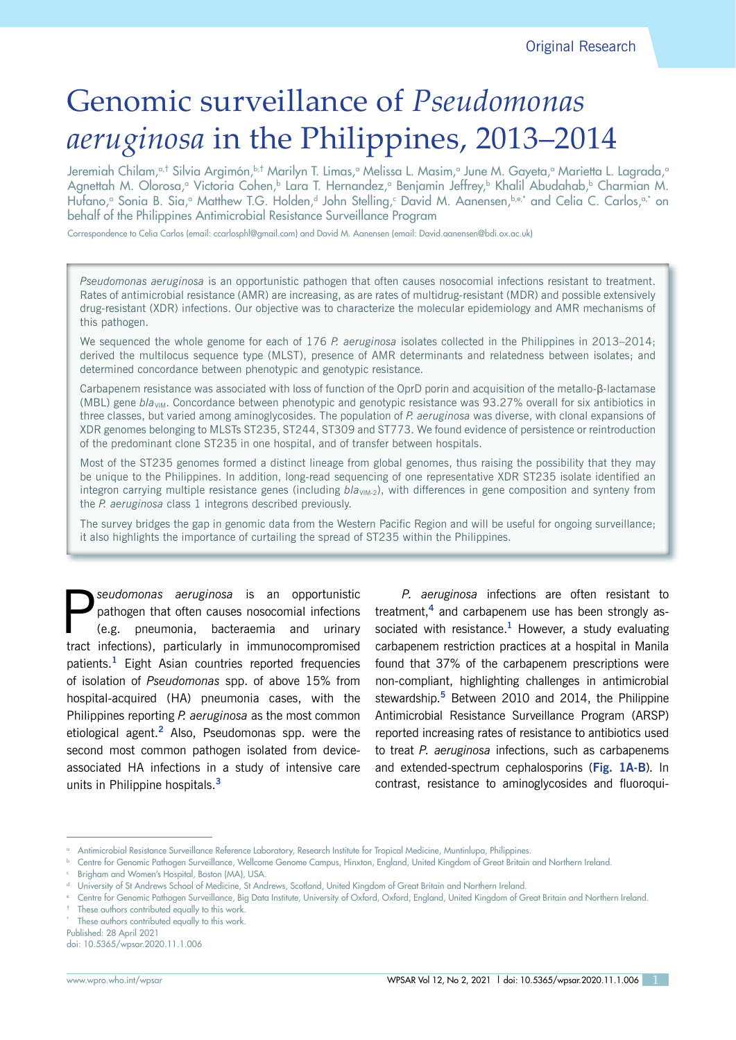# Genomic surveillance of *Pseudomonas aeruginosa* in the Philippines, 2013–2014

Jeremiah Chilam,<u>at Silvia Argimón,bit Marilyn T. Limas,a Melissa L. Masim,a June M. Gayeta,a Marietta L. Lagrada,a</u> Agnettah M. Olorosa,ª Victoria Cohen,♭ Lara T. Hernandez,ª Benjamin Jeffrey,♭ Khalil Abudahab,♭ Charmian M. Hutano,ª Sonia B. Sia,ª Matthew T.G. Holden,ª John Stelling,º David M. Aanensen,b,e,\* and Celia C. Carlos,ª\* on behalf of the Philippines Antimicrobial Resistance Surveillance Program

Correspondence to Celia Carlos (email: ccarlosphl@gmail.com) and David M. Aanensen (email: David.aanensen@bdi.ox.ac.uk)

*Pseudomonas aeruginosa* is an opportunistic pathogen that often causes nosocomial infections resistant to treatment. Rates of antimicrobial resistance (AMR) are increasing, as are rates of multidrug-resistant (MDR) and possible extensively drug-resistant (XDR) infections. Our objective was to characterize the molecular epidemiology and AMR mechanisms of this pathogen.

We sequenced the whole genome for each of 176 *P. aeruginosa* isolates collected in the Philippines in 2013–2014; derived the multilocus sequence type (MLST), presence of AMR determinants and relatedness between isolates; and determined concordance between phenotypic and genotypic resistance.

Carbapenem resistance was associated with loss of function of the OprD porin and acquisition of the metallo-β-lactamase (MBL) gene *bla*<sub>VIM</sub>. Concordance between phenotypic and genotypic resistance was 93.27% overall for six antibiotics in three classes, but varied among aminoglycosides. The population of *P. aeruginosa* was diverse, with clonal expansions of XDR genomes belonging to MLSTs ST235, ST244, ST309 and ST773. We found evidence of persistence or reintroduction of the predominant clone ST235 in one hospital, and of transfer between hospitals.

Most of the ST235 genomes formed a distinct lineage from global genomes, thus raising the possibility that they may be unique to the Philippines. In addition, long-read sequencing of one representative XDR ST235 isolate identified an integron carrying multiple resistance genes (including  $b/a<sub>VIM-2</sub>$ ), with differences in gene composition and synteny from the *P. aeruginosa* class 1 integrons described previously.

The survey bridges the gap in genomic data from the Western Pacific Region and will be useful for ongoing surveillance; it also highlights the importance of curtailing the spread of ST235 within the Philippines.

**P**<br> **P**seudomonas aeruginosa is an opportunistic<br>
(e.g. pneumonia, bacteraemia and urinary<br>
tract infectional particularly in immunocompromised pathogen that often causes nosocomial infections tract infections), particularly in immunocompromised patients.**<sup>1</sup>** Eight Asian countries reported frequencies of isolation of *Pseudomonas* spp. of above 15% from hospital-acquired (HA) pneumonia cases, with the Philippines reporting *P. aeruginosa* as the most common etiological agent.**<sup>2</sup>** Also, Pseudomonas spp. were the second most common pathogen isolated from deviceassociated HA infections in a study of intensive care units in Philippine hospitals.**<sup>3</sup>**

*P. aeruginosa* infections are often resistant to treatment,**<sup>4</sup>** and carbapenem use has been strongly associated with resistance.**<sup>1</sup>** However, a study evaluating carbapenem restriction practices at a hospital in Manila found that 37% of the carbapenem prescriptions were non-compliant, highlighting challenges in antimicrobial stewardship.**<sup>5</sup>** Between 2010 and 2014, the Philippine Antimicrobial Resistance Surveillance Program (ARSP) reported increasing rates of resistance to antibiotics used to treat *P. aeruginosa* infections, such as carbapenems and extended-spectrum cephalosporins (**Fig. 1A-B**). In contrast, resistance to aminoglycosides and fluoroqui-

Published: 28 April 2021 doi: 10.5365/wpsar.2020.11.1.006

<sup>a</sup> Antimicrobial Resistance Surveillance Reference Laboratory, Research Institute for Tropical Medicine, Muntinlupa, Philippines.

**b** Centre for Genomic Pathogen Surveillance, Wellcome Genome Campus, Hinxton, England, United Kingdom of Great Britain and Northern Ireland.

Brigham and Women's Hospital, Boston (MA), USA.

<sup>d</sup> University of St Andrews School of Medicine, St Andrews, Scotland, United Kingdom of Great Britain and Northern Ireland.

e Centre for Genomic Pathogen Surveillance, Big Data Institute, University of Oxford, Oxford, England, United Kingdom of Great Britain and Northern Ireland. These authors contributed equally to this work.

These authors contributed equally to this work.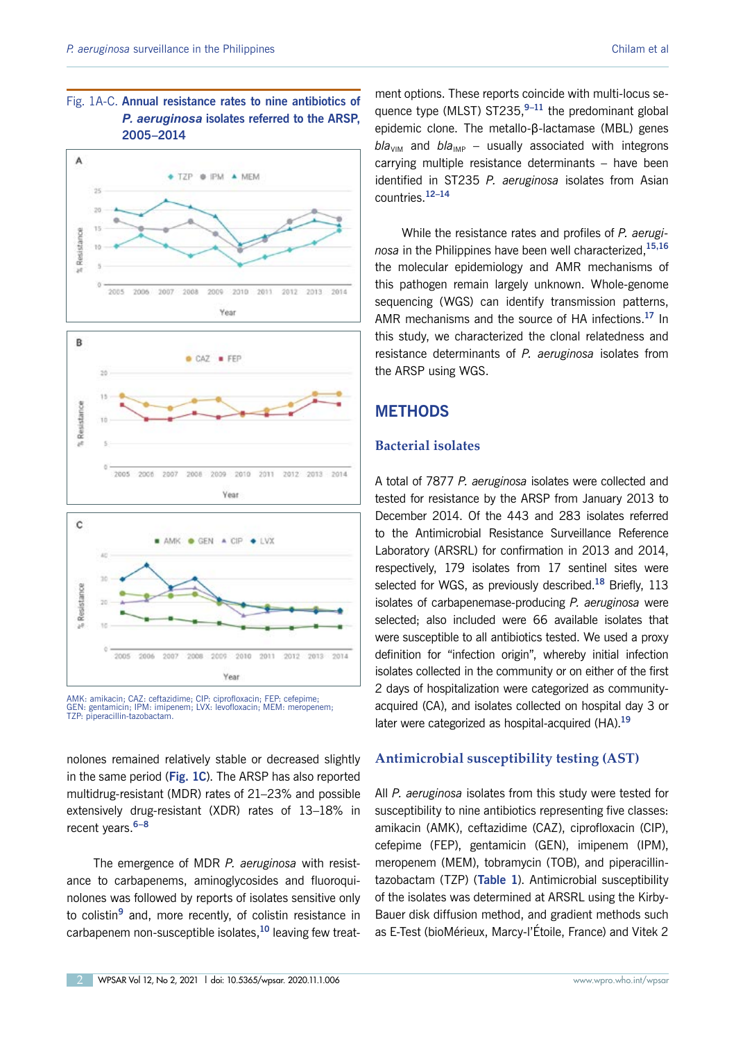# Fig. 1A-C. **Annual resistance rates to nine antibiotics of**  *P. aeruginosa* **isolates referred to the ARSP, 2005–2014**



AMK: amikacin; CAZ: ceftazidime; CIP: ciprofloxacin; FEP: cefepime; GEN: gentamicin; IPM: imipenem; LVX: levofloxacin; MEM: meropenem; TZP: piperacillin-tazobactam.

nolones remained relatively stable or decreased slightly in the same period (**Fig. 1C**). The ARSP has also reported multidrug-resistant (MDR) rates of 21–23% and possible extensively drug-resistant (XDR) rates of 13–18% in recent years.**6–8**

The emergence of MDR *P. aeruginosa* with resistance to carbapenems, aminoglycosides and fluoroquinolones was followed by reports of isolates sensitive only to colistin**<sup>9</sup>** and, more recently, of colistin resistance in carbapenem non-susceptible isolates,**<sup>10</sup>** leaving few treat-

ment options. These reports coincide with multi-locus sequence type (MLST) ST235,**9–11** the predominant global epidemic clone. The metallo-β-lactamase (MBL) genes  $bla<sub>VIM</sub>$  and  $bla<sub>IMP</sub>$  – usually associated with integrons carrying multiple resistance determinants – have been identified in ST235 *P. aeruginosa* isolates from Asian countries.**12–14**

While the resistance rates and profiles of *P. aeruginosa* in the Philippines have been well characterized,**15,16** the molecular epidemiology and AMR mechanisms of this pathogen remain largely unknown. Whole-genome sequencing (WGS) can identify transmission patterns, AMR mechanisms and the source of HA infections.**<sup>17</sup>** In this study, we characterized the clonal relatedness and resistance determinants of *P. aeruginosa* isolates from the ARSP using WGS.

# **METHODS**

# **Bacterial isolates**

A total of 7877 *P. aeruginosa* isolates were collected and tested for resistance by the ARSP from January 2013 to December 2014. Of the 443 and 283 isolates referred to the Antimicrobial Resistance Surveillance Reference Laboratory (ARSRL) for confirmation in 2013 and 2014, respectively, 179 isolates from 17 sentinel sites were selected for WGS, as previously described.**<sup>18</sup>** Briefly, 113 isolates of carbapenemase-producing *P. aeruginosa* were selected; also included were 66 available isolates that were susceptible to all antibiotics tested. We used a proxy definition for "infection origin", whereby initial infection isolates collected in the community or on either of the first 2 days of hospitalization were categorized as communityacquired (CA), and isolates collected on hospital day 3 or later were categorized as hospital-acquired (HA).**<sup>19</sup>**

# **Antimicrobial susceptibility testing (AST)**

All *P. aeruginosa* isolates from this study were tested for susceptibility to nine antibiotics representing five classes: amikacin (AMK), ceftazidime (CAZ), ciprofloxacin (CIP), cefepime (FEP), gentamicin (GEN), imipenem (IPM), meropenem (MEM), tobramycin (TOB), and piperacillintazobactam (TZP) (**Table 1**). Antimicrobial susceptibility of the isolates was determined at ARSRL using the Kirby-Bauer disk diffusion method, and gradient methods such as E-Test (bioMérieux, Marcy-l'Étoile, France) and Vitek 2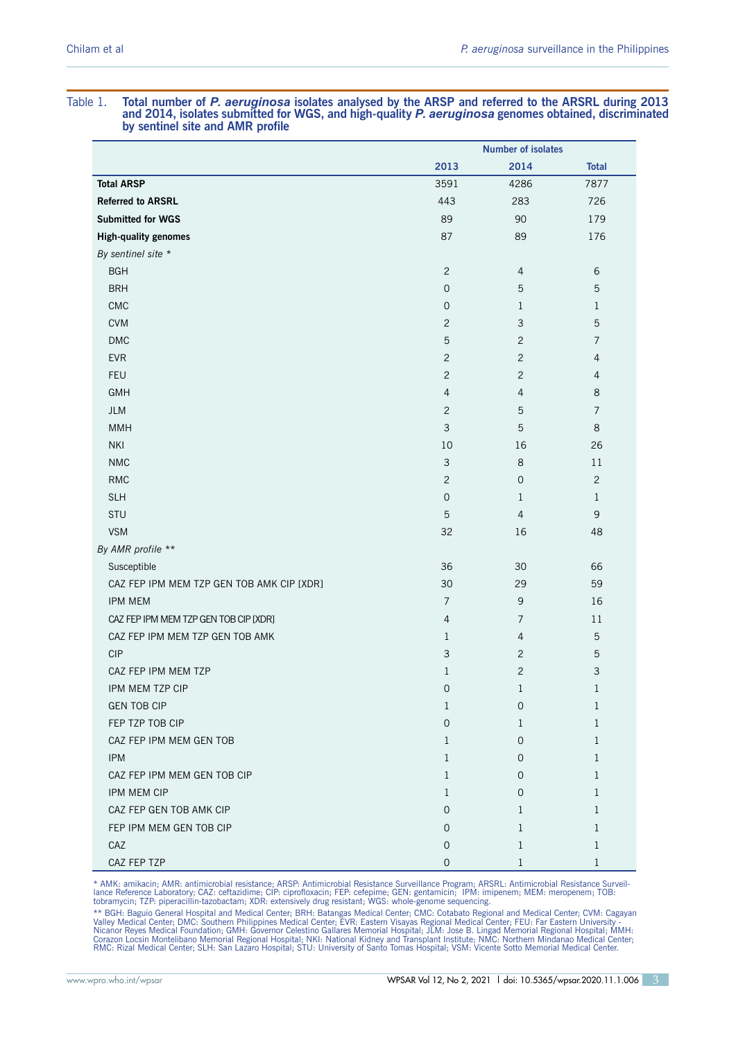# **by sentinel site and AMR profile Number of isolates 2013 2014 Total Total ARSP 3591 2002 12:00 12:00 12:00 12:00 13:00 13:00 13:00 13:00 13:00 14:00 14:00 14:00 14:00 14:00 14:00 14:00 14:00 14:00 14:00 14:00 14:00 14:00 14:00 14:00 14:00 14:00 14:00 14:00 14:00 14:00 14:00 14:00 14:00 14 Referred to ARSRL** 443 283 726 **Submitted for WGS** 89 89 90 179 **High-quality genomes** 87 89 89 176 *By sentinel site \** BGH  $2$  4 6 BRH  $\,$  5  $\,$  5  $\,$  5  $\,$  5  $\,$  5  $\,$  5  $\,$  5  $\,$  5  $\,$  5  $\,$  5  $\,$  5  $\,$  5  $\,$  5  $\,$  5  $\,$  5  $\,$  5  $\,$  5  $\,$  5  $\,$  5  $\,$  5  $\,$  5  $\,$  5  $\,$  5  $\,$  5  $\,$  5  $\,$  5  $\,$  5  $\,$  5  $\,$  5  $\,$  5  $\,$  5 CMC  $0$  1  $1$ CVM  $2$  3 5 DMC  $\qquad \qquad 5 \qquad \qquad 2 \qquad \qquad 7$ EVR  $2$  2 4 FEU  $2$   $2$   $4$  $GMH$  6. The contract of the contract of the contract of the contract of the contract of the contract of the contract of the contract of the contract of the contract of the contract of the contract of the contract of the c JLM 2 5 7 MMH  $3 \t3 \t5 \t8$ NKI 10 16 26 NMC 3 8 11 RMC  $2$  0 2 SLH 0 1 1  $STU$  5 4 9 9 4 9 4 9 4  $\pm$  5 4  $\pm$  9  $\pm$ VSM  $32$  16  $48$ *By AMR profile \*\** Susceptible 30 30 66 30 66 30 30 30 30 50 30 30 30 30 30 40 30 30 40 30 30 40 50 30 40 50 30 40 50 30 40 50 50 CAZ FEP IPM MEM TZP GEN TOB AMK CIP [XDR] 30 30 29 59 IPM MEM 7 9 16 CAZ FEP IPM MEM TZP GEN TOB CIP [XDR] 4 7 2 11 CAZ FEP IPM MEM TZP GEN TOB AMK 1 4 5  $\text{CIP}$  3 2 5 CAZ FEP IPM MEM TZP 3 3 IPM MEM TZP CIP  $\begin{array}{ccc} 1 & 1 & 1 \\ 0 & 1 & 1 \end{array}$ GEN TOB CIP  $\qquad \qquad 1 \qquad \qquad 0 \qquad \qquad 1$ FEP TZP TOB CIP 0 1 1

# Table 1. **Total number of** *P. aeruginosa* **isolates analysed by the ARSP and referred to the ARSRL during 2013 and 2014, isolates submitted for WGS, and high-quality** *P. aeruginosa* **genomes obtained, discriminated**

\* AMK: amikacin; AMR: antimicrobial resistance; ARSP: Antimicrobial Resistance Surveillance Program; ARSRL: Antimicrobial Resistance Surveil-<br>Iance Reference Laboratory; CAZ: ceftazidime; CIP: ciprofloxacin; FEP: cefepime;

CAZ FEP IPM MEM GEN TOB 1 0 1 IPM  $1$  0  $0$  1 CAZ FEP IPM MEM GEN TOB CIP 1 0 1 IPM MEM CIP  $1$  0  $0$  1 CAZ FEP GEN TOB AMK CIP 0 1 1 FEP IPM MEM GEN TOB CIP 0 1 1  $CAZ$  and  $CAZ$  and  $CAZ$  and  $CAZ$  and  $CAZ$  and  $CAZ$  and  $CAZ$  and  $CAZ$  and  $CAZ$  and  $CAZ$  and  $CAZ$  and  $CAZ$  and  $CAZ$  and  $CAZ$  and  $CAZ$  and  $CAZ$  and  $CAZ$  and  $CAZ$  and  $CAZ$  and  $CAZ$  and  $CAZ$  and  $CAZ$  and  $CAZ$  and  $CAZ$  and  $CAZ$  CAZ FEP TZP 0 1 1

\*\* BGH: Baguio General Hospital and Medical Center; BRH: Batangas Medical Center; CMC: Cotabato Regional and Medical Center; CVM: Cagayan<br>Valley Medical Center; DMC: Southern Philippines Medical Center; EVR: Eastern Visaya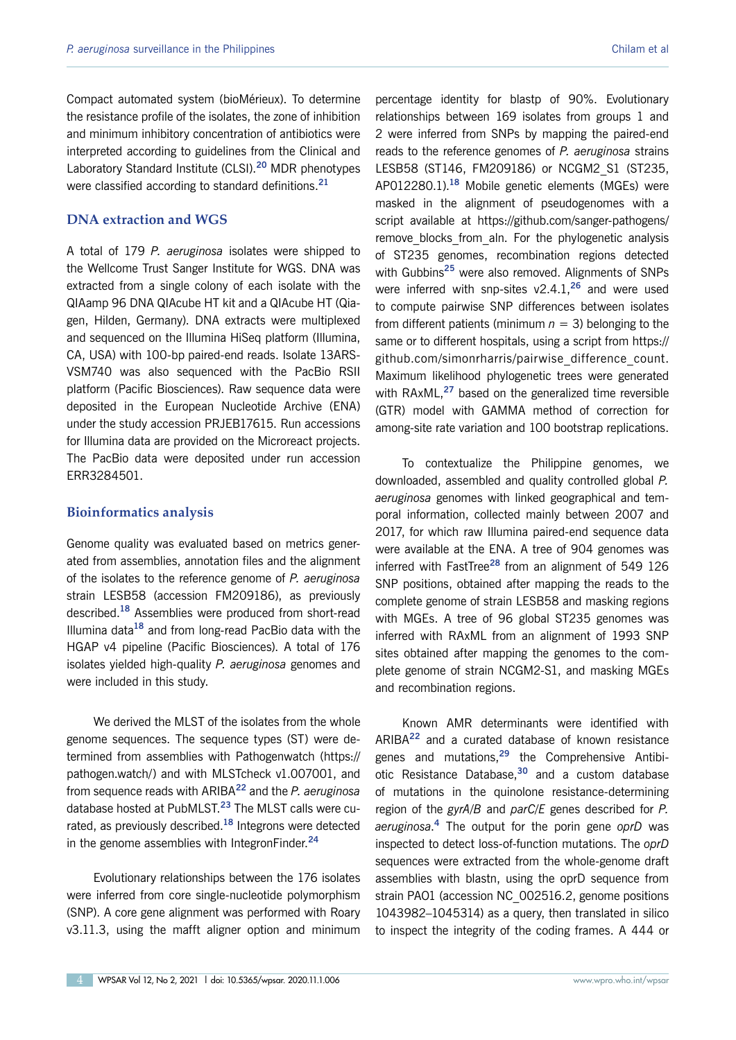Compact automated system (bioMérieux). To determine the resistance profile of the isolates, the zone of inhibition and minimum inhibitory concentration of antibiotics were interpreted according to guidelines from the Clinical and Laboratory Standard Institute (CLSI).**<sup>20</sup>** MDR phenotypes were classified according to standard definitions.**<sup>21</sup>**

# **DNA extraction and WGS**

A total of 179 *P. aeruginosa* isolates were shipped to the Wellcome Trust Sanger Institute for WGS. DNA was extracted from a single colony of each isolate with the QIAamp 96 DNA QIAcube HT kit and a QIAcube HT (Qiagen, Hilden, Germany). DNA extracts were multiplexed and sequenced on the Illumina HiSeq platform (Illumina, CA, USA) with 100-bp paired-end reads. Isolate 13ARS-VSM740 was also sequenced with the PacBio RSII platform (Pacific Biosciences). Raw sequence data were deposited in the European Nucleotide Archive (ENA) under the study accession PRJEB17615. Run accessions for Illumina data are provided on the Microreact projects. The PacBio data were deposited under run accession ERR3284501.

#### **Bioinformatics analysis**

Genome quality was evaluated based on metrics generated from assemblies, annotation files and the alignment of the isolates to the reference genome of *P. aeruginosa* strain LESB58 (accession FM209186), as previously described.**<sup>18</sup>** Assemblies were produced from short-read Illumina data**<sup>18</sup>** and from long-read PacBio data with the HGAP v4 pipeline (Pacific Biosciences). A total of 176 isolates yielded high-quality *P. aeruginosa* genomes and were included in this study.

We derived the MLST of the isolates from the whole genome sequences. The sequence types (ST) were determined from assemblies with Pathogenwatch [\(https://](https://pathogen.watch/) [pathogen.watch/](https://pathogen.watch/)) and with MLSTcheck v1.007001, and from sequence reads with ARIBA**<sup>22</sup>** and the *P. aeruginosa* database hosted at PubMLST.**<sup>23</sup>** The MLST calls were curated, as previously described.**<sup>18</sup>** Integrons were detected in the genome assemblies with IntegronFinder.**<sup>24</sup>**

Evolutionary relationships between the 176 isolates were inferred from core single-nucleotide polymorphism (SNP). A core gene alignment was performed with Roary v3.11.3, using the mafft aligner option and minimum percentage identity for blastp of 90%. Evolutionary relationships between 169 isolates from groups 1 and 2 were inferred from SNPs by mapping the paired-end reads to the reference genomes of *P. aeruginosa* strains LESB58 (ST146, FM209186) or NCGM2\_S1 (ST235, AP012280.1).**<sup>18</sup>** Mobile genetic elements (MGEs) were masked in the alignment of pseudogenomes with a script available at <https://github.com/sanger-pathogens/> remove blocks from aln. For the phylogenetic analysis of ST235 genomes, recombination regions detected with Gubbins**<sup>25</sup>** were also removed. Alignments of SNPs were inferred with snp-sites v2.4.1,**<sup>26</sup>** and were used to compute pairwise SNP differences between isolates from different patients (minimum  $n = 3$ ) belonging to the same or to different hospitals, using a script from [https://](https://github.com/simonrharris/pairwise_difference_count) [github.com/simonrharris/pairwise\\_difference\\_count](https://github.com/simonrharris/pairwise_difference_count). Maximum likelihood phylogenetic trees were generated with RAxML,**<sup>27</sup>** based on the generalized time reversible (GTR) model with GAMMA method of correction for among-site rate variation and 100 bootstrap replications.

To contextualize the Philippine genomes, we downloaded, assembled and quality controlled global *P. aeruginosa* genomes with linked geographical and temporal information, collected mainly between 2007 and 2017, for which raw Illumina paired-end sequence data were available at the ENA. A tree of 904 genomes was inferred with FastTree**<sup>28</sup>** from an alignment of 549 126 SNP positions, obtained after mapping the reads to the complete genome of strain LESB58 and masking regions with MGEs. A tree of 96 global ST235 genomes was inferred with RAxML from an alignment of 1993 SNP sites obtained after mapping the genomes to the complete genome of strain NCGM2-S1, and masking MGEs and recombination regions.

Known AMR determinants were identified with ARIBA**<sup>22</sup>** and a curated database of known resistance genes and mutations,**<sup>29</sup>** the Comprehensive Antibiotic Resistance Database,**<sup>30</sup>** and a custom database of mutations in the quinolone resistance-determining region of the *gyrA/B* and *parC/E* genes described for *P. aeruginosa*. **<sup>4</sup>** The output for the porin gene *oprD* was inspected to detect loss-of-function mutations. The *oprD* sequences were extracted from the whole-genome draft assemblies with blastn, using the oprD sequence from strain PAO1 (accession NC\_002516.2, genome positions 1043982–1045314) as a query, then translated in silico to inspect the integrity of the coding frames. A 444 or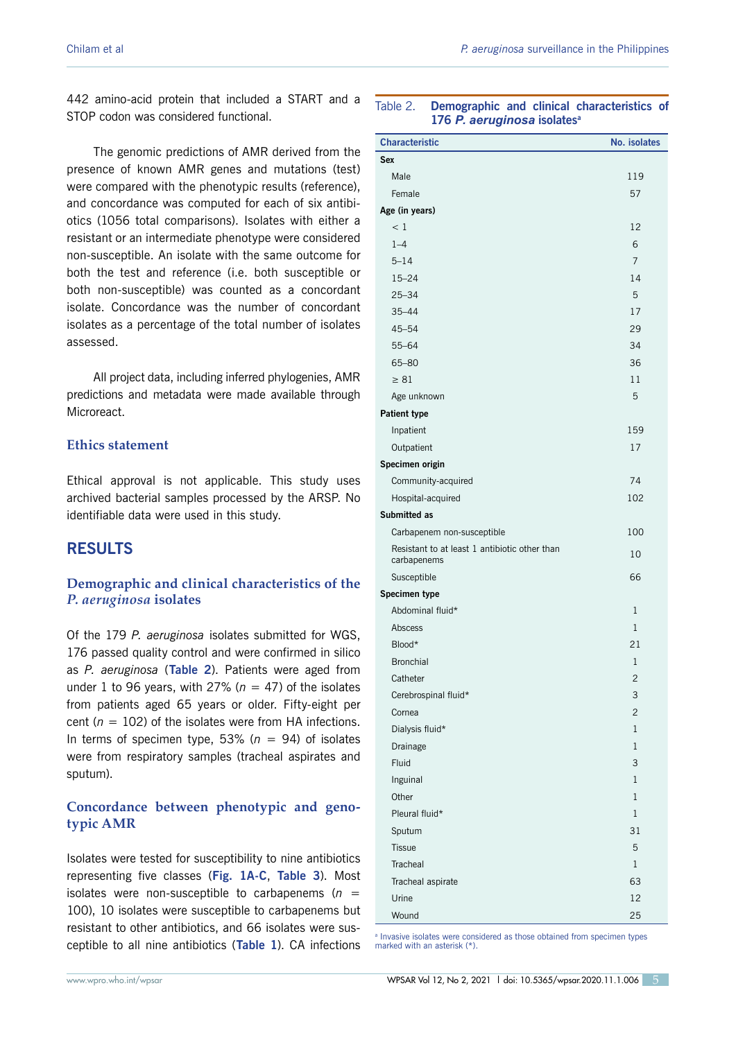442 amino-acid protein that included a START and a STOP codon was considered functional.

The genomic predictions of AMR derived from the presence of known AMR genes and mutations (test) were compared with the phenotypic results (reference), and concordance was computed for each of six antibiotics (1056 total comparisons). Isolates with either a resistant or an intermediate phenotype were considered non-susceptible. An isolate with the same outcome for both the test and reference (i.e. both susceptible or both non-susceptible) was counted as a concordant isolate. Concordance was the number of concordant isolates as a percentage of the total number of isolates assessed.

All project data, including inferred phylogenies, AMR predictions and metadata were made available through Microreact.

# **Ethics statement**

Ethical approval is not applicable. This study uses archived bacterial samples processed by the ARSP. No identifiable data were used in this study.

# **RESULTS**

# **Demographic and clinical characteristics of the**  *P. aeruginosa* **isolates**

Of the 179 *P. aeruginosa* isolates submitted for WGS, 176 passed quality control and were confirmed in silico as *P. aeruginosa* (**Table 2**). Patients were aged from under 1 to 96 years, with 27% ( $n = 47$ ) of the isolates from patients aged 65 years or older. Fifty-eight per cent ( $n = 102$ ) of the isolates were from HA infections. In terms of specimen type, 53% ( $n = 94$ ) of isolates were from respiratory samples (tracheal aspirates and sputum).

# **Concordance between phenotypic and genotypic AMR**

Isolates were tested for susceptibility to nine antibiotics representing five classes (**Fig. 1A-C**, **Table 3**). Most isolates were non-susceptible to carbapenems  $(n =$ 100), 10 isolates were susceptible to carbapenems but resistant to other antibiotics, and 66 isolates were susceptible to all nine antibiotics (**Table 1**). CA infections

#### Table 2. **Demographic and clinical characteristics of 176** *P. aeruginosa* **isolatesa**

| <b>Characteristic</b>                         | No. isolates   |
|-----------------------------------------------|----------------|
| <b>Sex</b>                                    |                |
| Male                                          | 119            |
| Female                                        | 57             |
| Age (in years)                                |                |
| < 1                                           | 12             |
| $1 - 4$                                       | 6              |
| $5 - 14$                                      | 7              |
| $15 - 24$                                     | 14             |
| $25 - 34$                                     | 5              |
| $35 - 44$                                     | 17             |
| $45 - 54$                                     | 29             |
| $55 - 64$                                     | 34             |
| 65-80                                         | 36             |
| $\geq 81$                                     | 11             |
| Age unknown                                   | 5              |
| <b>Patient type</b>                           |                |
| Inpatient                                     | 159            |
| Outpatient                                    | 17             |
| Specimen origin                               |                |
| Community-acquired                            | 74             |
| Hospital-acquired                             | 102            |
| Submitted as                                  |                |
| Carbapenem non-susceptible                    | 100            |
| Resistant to at least 1 antibiotic other than |                |
| carbapenems                                   | 10             |
| Susceptible                                   | 66             |
| Specimen type                                 |                |
| Abdominal fluid*                              | 1              |
| Abscess                                       | $\mathbf{1}$   |
| Blood*                                        | 21             |
| <b>Bronchial</b>                              | $\mathbf 1$    |
| Catheter                                      | $\overline{c}$ |
| Cerebrospinal fluid*                          | 3              |
| Cornea                                        | $\overline{2}$ |
| Dialysis fluid*                               | 1              |
| Drainage                                      | $\mathbf{1}$   |
| Fluid                                         | 3              |
| Inguinal                                      | $\mathbf{1}$   |
| Other                                         | $\mathbf{1}$   |
| Pleural fluid*                                | $\mathbf{1}$   |
| Sputum                                        | 31             |
| <b>Tissue</b>                                 | 5              |
| Tracheal                                      | $\mathbf{1}$   |
| Tracheal aspirate                             | 63             |
| Urine                                         | 12             |
| Wound                                         | 25             |

<sup>a</sup> Invasive isolates were considered as those obtained from specimen types marked with an asterisk (\*).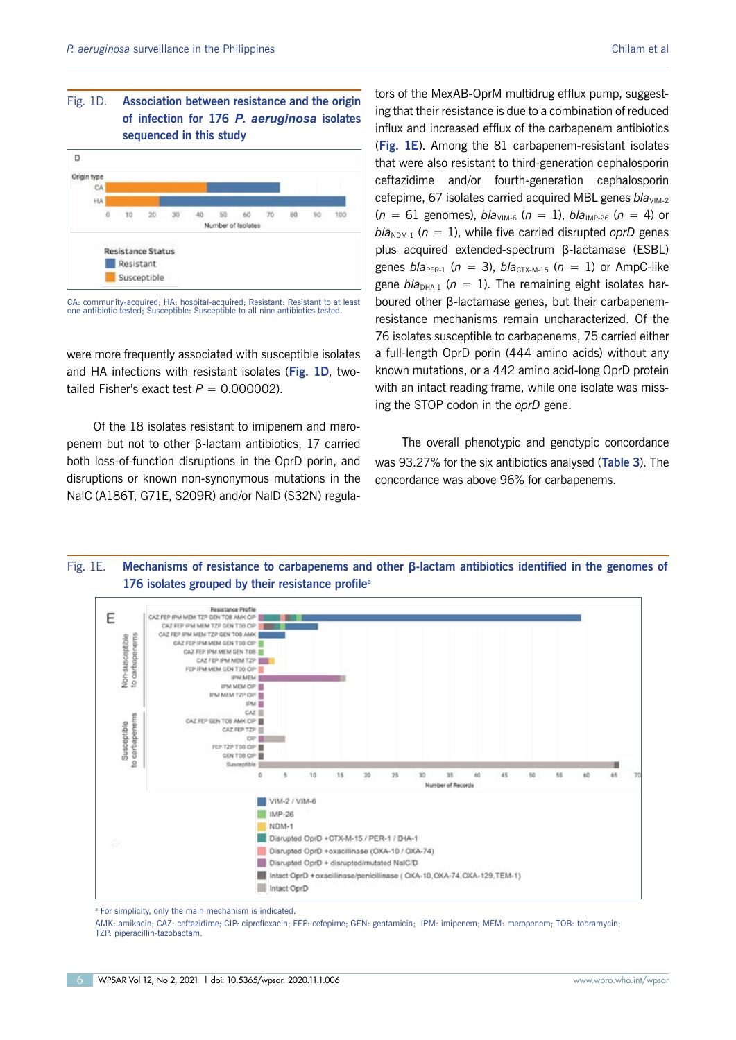# Fig. 1D. **Association between resistance and the origin of infection for 176** *P. aeruginosa* **isolates sequenced in this study**



CA: community-acquired; HA: hospital-acquired; Resistant: Resistant to at least one antibiotic tested; Susceptible: Susceptible to all nine antibiotics tested

were more frequently associated with susceptible isolates and HA infections with resistant isolates (**Fig. 1D**, twotailed Fisher's exact test  $P = 0.000002$ ).

Of the 18 isolates resistant to imipenem and meropenem but not to other β-lactam antibiotics, 17 carried both loss-of-function disruptions in the OprD porin, and disruptions or known non-synonymous mutations in the NalC (A186T, G71E, S209R) and/or NalD (S32N) regulators of the MexAB-OprM multidrug efflux pump, suggesting that their resistance is due to a combination of reduced influx and increased efflux of the carbapenem antibiotics (**Fig. 1E**). Among the 81 carbapenem-resistant isolates that were also resistant to third-generation cephalosporin ceftazidime and/or fourth-generation cephalosporin cefepime, 67 isolates carried acquired MBL genes *bla*<sub>VIM-2</sub>  $(n = 61$  genomes),  $bla<sub>VIM-6</sub>$   $(n = 1)$ ,  $bla<sub>IMP-26</sub>$   $(n = 4)$  or  $b/a_{\text{NDM-1}}$  ( $n = 1$ ), while five carried disrupted *oprD* genes plus acquired extended-spectrum β-lactamase (ESBL) genes  $bla_{PER-1}$  ( $n = 3$ ),  $bla_{CTX-M-15}$  ( $n = 1$ ) or AmpC-like gene  $b/a_{\text{DHA-1}}$  ( $n = 1$ ). The remaining eight isolates harboured other β-lactamase genes, but their carbapenemresistance mechanisms remain uncharacterized. Of the 76 isolates susceptible to carbapenems, 75 carried either a full-length OprD porin (444 amino acids) without any known mutations, or a 442 amino acid-long OprD protein with an intact reading frame, while one isolate was missing the STOP codon in the *oprD* gene.

The overall phenotypic and genotypic concordance was 93.27% for the six antibiotics analysed (**Table 3**). The concordance was above 96% for carbapenems.

# Fig. 1E. **Mechanisms of resistance to carbapenems and other β-lactam antibiotics identified in the genomes of 176 isolates grouped by their resistance profilea**



<sup>a</sup> For simplicity, only the main mechanism is indicated.

AMK: amikacin; CAZ: ceftazidime; CIP: ciprofloxacin; FEP: cefepime; GEN: gentamicin; IPM: imipenem; MEM: meropenem; TOB: tobramycin; TZP: piperacillin-tazobactam.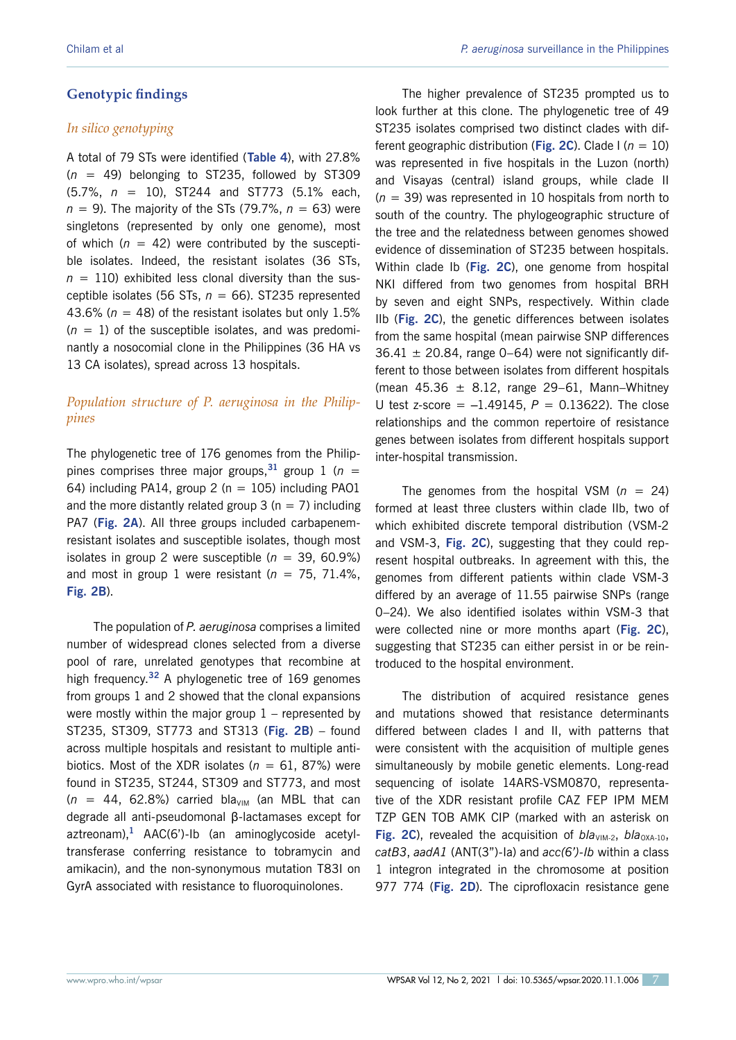# **Genotypic findings**

## *In silico genotyping*

A total of 79 STs were identified (**Table 4**), with 27.8% (*n* = 49) belonging to ST235, followed by ST309 (5.7%, *n* = 10), ST244 and ST773 (5.1% each, *n* = 9). The majority of the STs (79.7%, *n* = 63) were singletons (represented by only one genome), most of which  $(n = 42)$  were contributed by the susceptible isolates. Indeed, the resistant isolates (36 STs,  $n = 110$ ) exhibited less clonal diversity than the susceptible isolates (56 STs, *n* = 66). ST235 represented 43.6% ( $n = 48$ ) of the resistant isolates but only 1.5%  $(n = 1)$  of the susceptible isolates, and was predominantly a nosocomial clone in the Philippines (36 HA vs 13 CA isolates), spread across 13 hospitals.

# *Population structure of P. aeruginosa in the Philippines*

The phylogenetic tree of 176 genomes from the Philippines comprises three major groups,  $31$  group 1 ( $n =$ 64) including PA14, group 2 ( $n = 105$ ) including PA01 and the more distantly related group  $3$  (n = 7) including PA7 (**Fig. 2A**). All three groups included carbapenemresistant isolates and susceptible isolates, though most isolates in group 2 were susceptible  $(n = 39, 60.9\%)$ and most in group 1 were resistant ( $n = 75, 71.4\%$ , **Fig. 2B**).

The population of *P. aeruginosa* comprises a limited number of widespread clones selected from a diverse pool of rare, unrelated genotypes that recombine at high frequency.**<sup>32</sup>** A phylogenetic tree of 169 genomes from groups 1 and 2 showed that the clonal expansions were mostly within the major group  $1$  – represented by ST235, ST309, ST773 and ST313 (**Fig. 2B**) – found across multiple hospitals and resistant to multiple antibiotics. Most of the XDR isolates ( $n = 61, 87\%$ ) were found in ST235, ST244, ST309 and ST773, and most  $(n = 44, 62.8%)$  carried bla<sub>VIM</sub> (an MBL that can degrade all anti-pseudomonal β-lactamases except for aztreonam),**<sup>1</sup>** AAC(6')-Ib (an aminoglycoside acetyltransferase conferring resistance to tobramycin and amikacin), and the non-synonymous mutation T83I on GyrA associated with resistance to fluoroquinolones.

The higher prevalence of ST235 prompted us to look further at this clone. The phylogenetic tree of 49 ST235 isolates comprised two distinct clades with different geographic distribution (**Fig. 2C**). Clade I (*n* = 10) was represented in five hospitals in the Luzon (north) and Visayas (central) island groups, while clade II (*n* = 39) was represented in 10 hospitals from north to south of the country. The phylogeographic structure of the tree and the relatedness between genomes showed evidence of dissemination of ST235 between hospitals. Within clade Ib (**Fig. 2C**), one genome from hospital NKI differed from two genomes from hospital BRH by seven and eight SNPs, respectively. Within clade IIb (**Fig. 2C**), the genetic differences between isolates from the same hospital (mean pairwise SNP differences  $36.41 \pm 20.84$ , range 0–64) were not significantly different to those between isolates from different hospitals (mean  $45.36 \pm 8.12$ , range 29–61, Mann–Whitney U test z-score =  $-1.49145$ ,  $P = 0.13622$ ). The close relationships and the common repertoire of resistance genes between isolates from different hospitals support inter-hospital transmission.

The genomes from the hospital VSM  $(n = 24)$ formed at least three clusters within clade IIb, two of which exhibited discrete temporal distribution (VSM-2 and VSM-3, **Fig. 2C**), suggesting that they could represent hospital outbreaks. In agreement with this, the genomes from different patients within clade VSM-3 differed by an average of 11.55 pairwise SNPs (range 0–24). We also identified isolates within VSM-3 that were collected nine or more months apart (**Fig. 2C**), suggesting that ST235 can either persist in or be reintroduced to the hospital environment.

The distribution of acquired resistance genes and mutations showed that resistance determinants differed between clades I and II, with patterns that were consistent with the acquisition of multiple genes simultaneously by mobile genetic elements. Long-read sequencing of isolate 14ARS-VSM0870, representative of the XDR resistant profile CAZ FEP IPM MEM TZP GEN TOB AMK CIP (marked with an asterisk on **Fig. 2C**), revealed the acquisition of  $bla<sub>VIM-2</sub>$ ,  $bla<sub>OXA-10</sub>$ , *catB3*, *aadA1* (ANT(3")-Ia) and *acc(6')-Ib* within a class 1 integron integrated in the chromosome at position 977 774 (**Fig. 2D**). The ciprofloxacin resistance gene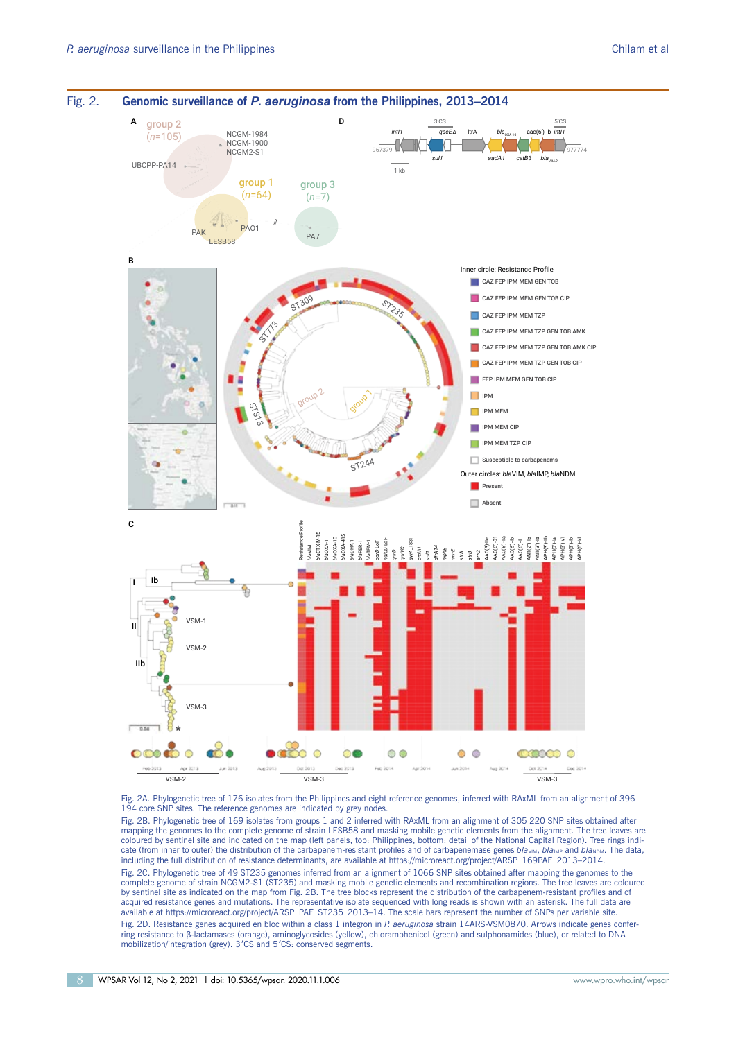

Fig. 2A. Phylogenetic tree of 176 isolates from the Philippines and eight reference genomes, inferred with RAxML from an alignment of 396 194 core SNP sites. The reference genomes are indicated by grey nodes.

Fig. 2B. Phylogenetic tree of 169 isolates from groups 1 and 2 inferred with RAxML from an alignment of 305 220 SNP sites obtained after mapping the genomes to the complete genome of strain LESB58 and masking mobile genetic elements from the alignment. The tree leaves are coloured by sentinel site and indicated on the map (left panels, top: Philippines, bottom: detail of the National Capital Region). Tree rings indi-<br>cate (from inner to outer) the distribution of the carbapenem-resistant pr

Fig. 2C. Phylogenetic tree of 49 ST235 genomes inferred from an alignment of 1066 SNP sites obtained after mapping the genomes to the complete genome of strain NCGM2-S1 (ST235) and masking mobile genetic elements and recombination regions. The tree leaves are coloured by sentinel site as indicated on the map from Fig. 2B. The tree blocks represent the distribution of the carbapenem-resistant profiles and of acquired resistance genes and mutations. The representative isolate sequenced with long reads is shown with an asterisk. The full data are available at https://microreact.org/project/ARSP\_PAE\_ST235\_2013–14. The scale bars represent the number of SNPs per variable site.

Fig. 2D. Resistance genes acquired en bloc within a class 1 integron in *P. aeruginosa* strain 14ARS-VSM0870. Arrows indicate genes conferring resistance to β-lactamases (orange), aminoglycosides (yellow), chloramphenicol (green) and sulphonamides (blue), or related to DNA mobilization/integration (grey). 3'CS and 5'CS: conserved segments.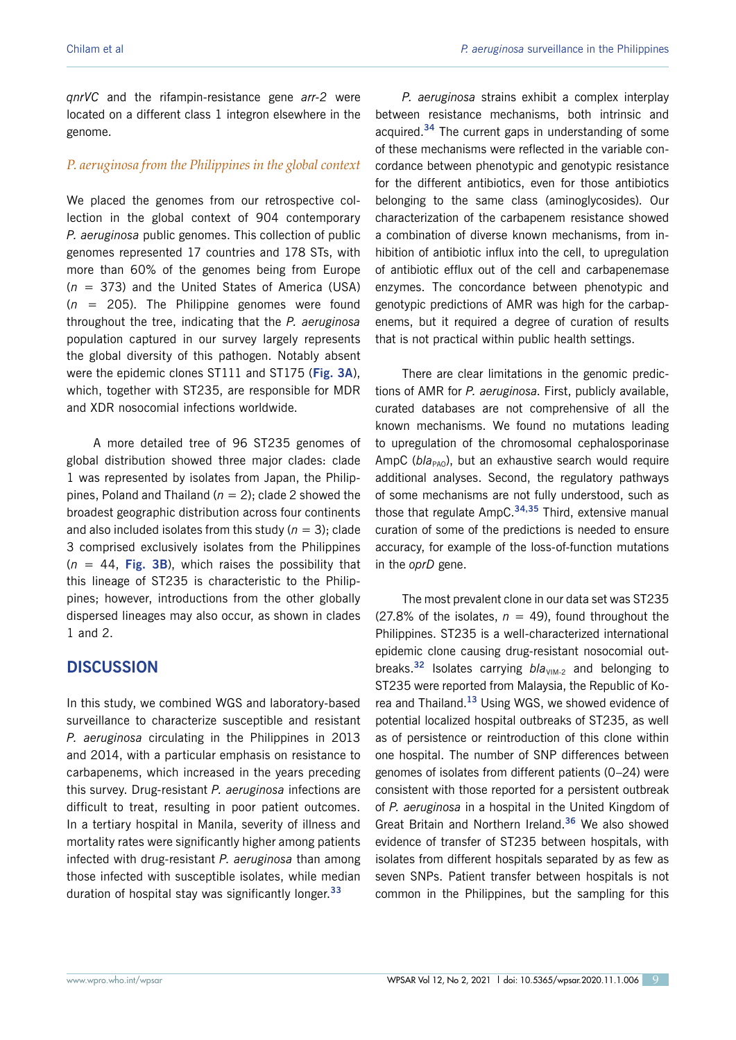*qnrVC* and the rifampin-resistance gene *arr-2* were located on a different class 1 integron elsewhere in the genome.

#### *P. aeruginosa from the Philippines in the global context*

We placed the genomes from our retrospective collection in the global context of 904 contemporary *P. aeruginosa* public genomes. This collection of public genomes represented 17 countries and 178 STs, with more than 60% of the genomes being from Europe (*n* = 373) and the United States of America (USA) (*n* = 205). The Philippine genomes were found throughout the tree, indicating that the *P. aeruginosa* population captured in our survey largely represents the global diversity of this pathogen. Notably absent were the epidemic clones ST111 and ST175 (**Fig. 3A**), which, together with ST235, are responsible for MDR and XDR nosocomial infections worldwide.

A more detailed tree of 96 ST235 genomes of global distribution showed three major clades: clade 1 was represented by isolates from Japan, the Philippines, Poland and Thailand (*n* = 2); clade 2 showed the broadest geographic distribution across four continents and also included isolates from this study ( $n = 3$ ); clade 3 comprised exclusively isolates from the Philippines  $(n = 44,$  Fig. 3B), which raises the possibility that this lineage of ST235 is characteristic to the Philippines; however, introductions from the other globally dispersed lineages may also occur, as shown in clades 1 and 2.

# **DISCUSSION**

In this study, we combined WGS and laboratory-based surveillance to characterize susceptible and resistant *P. aeruginosa* circulating in the Philippines in 2013 and 2014, with a particular emphasis on resistance to carbapenems, which increased in the years preceding this survey. Drug-resistant *P. aeruginosa* infections are difficult to treat, resulting in poor patient outcomes. In a tertiary hospital in Manila, severity of illness and mortality rates were significantly higher among patients infected with drug-resistant *P. aeruginosa* than among those infected with susceptible isolates, while median duration of hospital stay was significantly longer.**<sup>33</sup>**

*P. aeruginosa* strains exhibit a complex interplay between resistance mechanisms, both intrinsic and acquired.**<sup>34</sup>** The current gaps in understanding of some of these mechanisms were reflected in the variable concordance between phenotypic and genotypic resistance for the different antibiotics, even for those antibiotics belonging to the same class (aminoglycosides). Our characterization of the carbapenem resistance showed a combination of diverse known mechanisms, from inhibition of antibiotic influx into the cell, to upregulation of antibiotic efflux out of the cell and carbapenemase enzymes. The concordance between phenotypic and genotypic predictions of AMR was high for the carbapenems, but it required a degree of curation of results that is not practical within public health settings.

There are clear limitations in the genomic predictions of AMR for *P. aeruginosa*. First, publicly available, curated databases are not comprehensive of all the known mechanisms. We found no mutations leading to upregulation of the chromosomal cephalosporinase AmpC (*bla<sub>PAO</sub>*), but an exhaustive search would require additional analyses. Second, the regulatory pathways of some mechanisms are not fully understood, such as those that regulate AmpC.**34,35** Third, extensive manual curation of some of the predictions is needed to ensure accuracy, for example of the loss-of-function mutations in the *oprD* gene.

The most prevalent clone in our data set was ST235 (27.8% of the isolates,  $n = 49$ ), found throughout the Philippines. ST235 is a well-characterized international epidemic clone causing drug-resistant nosocomial outbreaks.<sup>32</sup> Isolates carrying *bla*<sub>VIM-2</sub> and belonging to ST235 were reported from Malaysia, the Republic of Korea and Thailand.**<sup>13</sup>** Using WGS, we showed evidence of potential localized hospital outbreaks of ST235, as well as of persistence or reintroduction of this clone within one hospital. The number of SNP differences between genomes of isolates from different patients (0–24) were consistent with those reported for a persistent outbreak of *P. aeruginosa* in a hospital in the United Kingdom of Great Britain and Northern Ireland.**<sup>36</sup>** We also showed evidence of transfer of ST235 between hospitals, with isolates from different hospitals separated by as few as seven SNPs. Patient transfer between hospitals is not common in the Philippines, but the sampling for this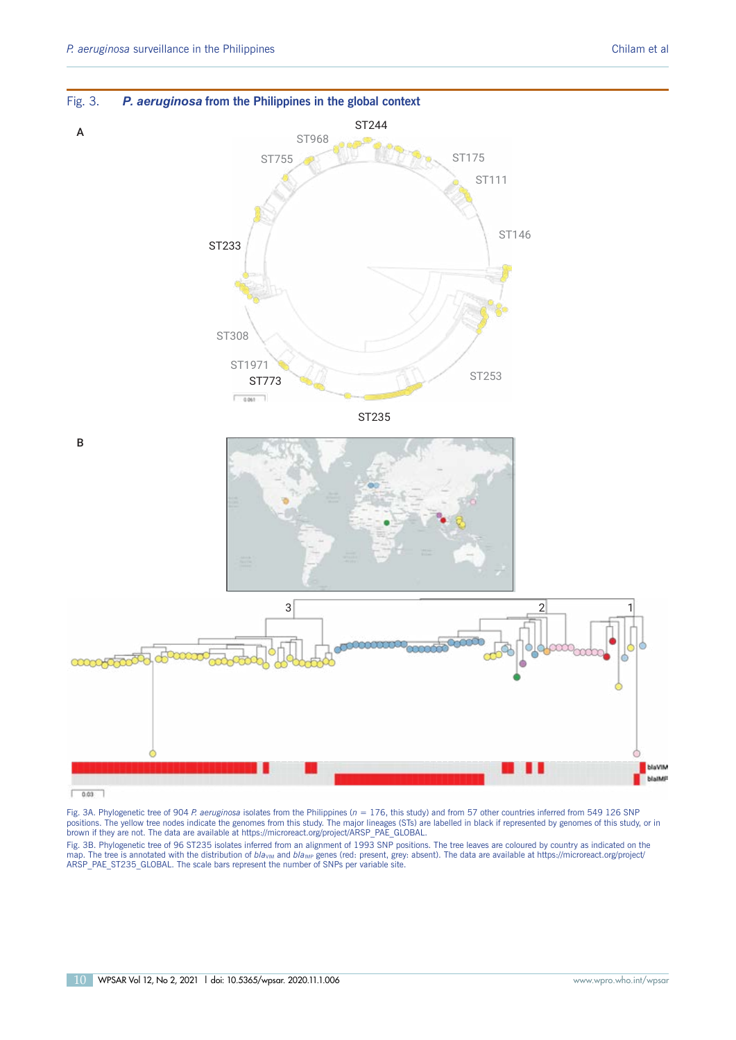

Fig. 3. *P. aeruginosa* **from the Philippines in the global context**

Fig. 3A. Phylogenetic tree of 904 *P. aeruginosa is*olates from the Philippines (n = 176, this study) and from 57 other countries inferred from 549 126 SNP<br>positions. The yellow tree nodes indicate the genomes from this st brown if they are not. The data are available at [https://microreact.org/project/ARSP\\_PAE\\_GLOBAL.](https://microreact.org/project/ARSP_PAE_GLOBAL)

Fig. 3B. Phylogenetic tree of 96 ST235 isolates inferred from an alignment of 1993 SNP positions. The tree leaves are coloured by country as indicated on the<br>map. The tree is annotated with the distribution of *bla<sub>vim</sub>* a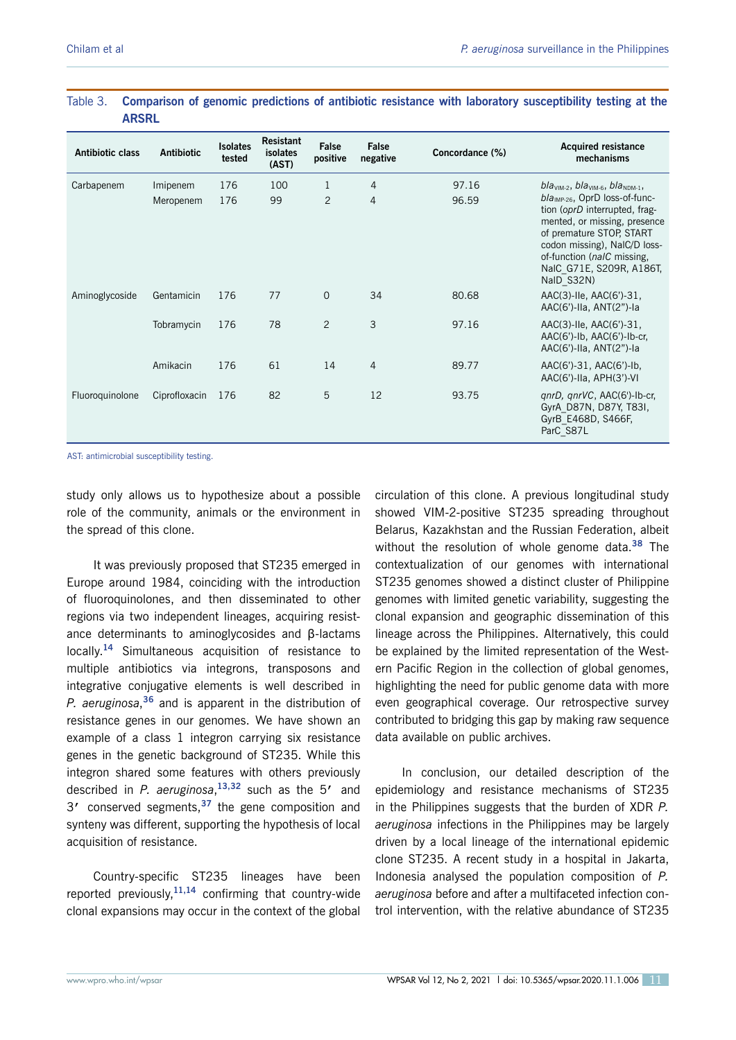| Table 3.<br><b>ARSRL</b><br><b>Antibiotic class</b> | <b>Antibiotic</b> | <b>Isolates</b> | <b>Resistant</b><br>isolates | False          | False          | Concordance (%) | Comparison of genomic predictions of antibiotic resistance with laboratory susceptibility testing at the<br><b>Acquired resistance</b>                                                                                                   |
|-----------------------------------------------------|-------------------|-----------------|------------------------------|----------------|----------------|-----------------|------------------------------------------------------------------------------------------------------------------------------------------------------------------------------------------------------------------------------------------|
|                                                     |                   | tested          | (AST)                        | positive       | negative       |                 | mechanisms                                                                                                                                                                                                                               |
| Carbapenem                                          | Imipenem          | 176             | 100                          | 1              | $\overline{4}$ | 97.16           | $blavIM-2, blavIM-6, blavDM-1,$                                                                                                                                                                                                          |
|                                                     | Meropenem         | 176             | 99                           | $\overline{2}$ | 4              | 96.59           | $bla_{IMP-26}$ , OprD loss-of-func-<br>tion (oprD interrupted, frag-<br>mented, or missing, presence<br>of premature STOP, START<br>codon missing), NaIC/D loss-<br>of-function (nalC missing,<br>NalC G71E, S209R, A186T,<br>NaID_S32N) |
| Aminoglycoside                                      | Gentamicin        | 176             | 77                           | $\Omega$       | 34             | 80.68           | $AAC(3)$ -Ile, $AAC(6')$ -31,<br>AAC(6')-Ila, ANT(2")-la                                                                                                                                                                                 |
|                                                     | Tobramycin        | 176             | 78                           | $\overline{2}$ | 3              | 97.16           | $AAC(3)$ -Ile, $AAC(6')$ -31,<br>$AAC(6')$ -lb, $AAC(6')$ -lb-cr,<br>AAC(6')-IIa, ANT(2")-Ia                                                                                                                                             |
|                                                     | Amikacin          | 176             | 61                           | 14             | $\overline{4}$ | 89.77           | AAC(6')-31, AAC(6')-Ib,<br>$AAC(6')-IIa, APH(3')-VI$                                                                                                                                                                                     |
| Fluoroquinolone                                     | Ciprofloxacin     | 176             | 82                           | 5              | 12             | 93.75           | gnrD, gnrVC, AAC(6')-Ib-cr,<br>GyrA D87N, D87Y, T83I,<br>GyrB E468D, S466F,<br>ParC_S87L                                                                                                                                                 |

# **ARSRL**

AST: antimicrobial susceptibility testing.

role of the community, animals or the environment in<br>the spread of this clone. the spread of this clone. study only allows us to hypothesize about a possible

It was previously proposed that ST235 emerged in Europe around 1984, coinciding with the introduction of fluoroquinolones, and then disseminated to other regions via two independent lineages, acquiring resistance determinants to aminoglycosides and B-lactams locally.<sup>14</sup> Simultaneous acquisition of resistance to ance determinants to aminoglycosides and β-lactams<br>locally.<sup>14</sup> Simultaneous acquisition of resistance to<br>multiple antibiotics via integrons, transposons and P. aeruginosa,<sup>36</sup> and is apparent in the distribution of resistance genes in our genomes. We have shown an example of a class 1 integron carrying six resistance P. aeruginosa,  $36$  and is apparent in the distribution of resistance genes in our genomes. We have shown an example of a class 1 integron carrying six resistance genes in the genetic background of ST235. While this integron shared some features with others previously integron shared some features with others previously<br>described in *P. aeruginosa*,<sup>13,32</sup> such as the 5' and 3<sup>'</sup> conserved segments,<sup>37</sup> the gene composition and synteny was different, supporting the hypothesis of local acquisition of resistance. It was previously proposed that ST235 emerged in Europe around 1984, coinciding with the introduction fluoroquinolones, and then disseminated to other regions via two independent lineages, acquiring resistintegrative conjugative elements is well described in described in *P. aeruginosa*,<sup>13,32</sup> such as the 5' and 3' conserved segments,<sup>37</sup> the gene composition and synteny was different, supporting the hypothesis of local acquisition of resistance.

Country-specific ST235 lineages have been reported previously, <sup>11,14</sup> confirming that country-wide Country-specific ST235 lineages have been reported previously,**11,14** confirming that country-wide clonal expansions may occur in the context of the global showed VIM-2-positive ST235 spreading throughout Belarus, Kazakhstan and the Russian Federation, albeit without the resolution of whole genome data.<sup>38</sup> The contextualization of our genomes with international ST235 genomes showed a distinct cluster of Philippine genomes with limited genetic variability, suggesting the clonal expansion and geographic dissemination of this lineage across the Philippines. Alternatively, this could ern Pacific Region in the collection of global genomes, highlighting the need for public genome data with more ern Pacific Region in the collection of global genomes,<br>highlighting the need for public genome data with more<br>even geographical coverage. Our retrospective survey contributed to bridging this gap by making raw sequence<br>data available on public archives. data available on public archives. circulation of this clone. A previous longitudinal study Belarus, Kazakhstan and the Russian Federation, albeit<br>without the resolution of whole genome data.<sup>38</sup> The<br>contextualization of our genomes with international<br>ST235 genomes showed a distinct cluster of Philippine<br>genomes be explained by the limited representation of the West-

In conclusion, our detailed description of the epidemiology and resistance mechanisms of ST235 in the Philippines suggests that the burden of XDR  $P$ . aeruginosa infections in the Philippines may be largely driven by a local lineage of the international epidemic clone ST235. A recent study in a hospital in Jakarta, Indonesia analysed the population composition of  $P$ . aeruginosa before and after a multifaceted infection conepidemiology and resistance mechanisms of ST235<br>in the Philippines suggests that the burden of XDR *P.*<br>aeruginosa infections in the Philippines may be largely<br>driven by a local lineage of the international epidemic<br>clone trol intervention, with the relative abundance of ST235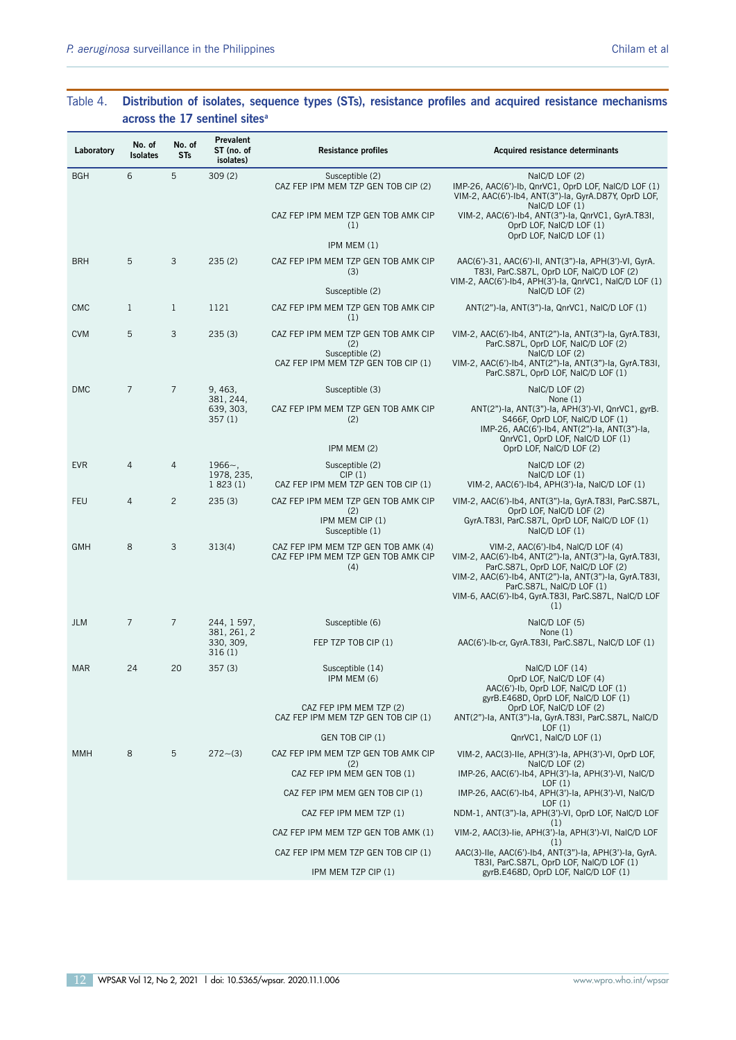# Table 4. Distribution of isolates, sequence types (STs), resistance profiles and acquired resistance mechanisms **across the 17 sentinel sites<sup>a</sup>**

Table 4. **Distribution of isolates, sequence types (STs), resistance profiles and acquired resistance mechanisms** 

**across the 17 sentinel sites. Only genes and mutations associated with the antibiotic classes tested are** 

| Laboratory | No. of<br>Isolates | No. of<br><b>STs</b> | Prevalent<br>ST (no. of<br>isolates)         | <b>Resistance profiles</b>                                                                           | <b>Acquired resistance determinants</b>                                                                                                                                                                                                                                                   |
|------------|--------------------|----------------------|----------------------------------------------|------------------------------------------------------------------------------------------------------|-------------------------------------------------------------------------------------------------------------------------------------------------------------------------------------------------------------------------------------------------------------------------------------------|
| <b>BGH</b> | 6                  | 5                    | 309(2)                                       | Susceptible (2)<br>CAZ FEP IPM MEM TZP GEN TOB CIP (2)                                               | NaIC/D LOF (2)<br>IMP-26, AAC(6')-Ib, QnrVC1, OprD LOF, NaIC/D LOF (1)<br>VIM-2, AAC(6')-Ib4, ANT(3")-Ia, GyrA.D87Y, OprD LOF,<br>NaIC/D LOF (1)                                                                                                                                          |
|            |                    |                      |                                              | CAZ FEP IPM MEM TZP GEN TOB AMK CIP<br>(1)                                                           | VIM-2, AAC(6')-Ib4, ANT(3")-Ia, QnrVC1, GyrA.T83I,<br>OprD LOF, NaIC/D LOF (1)<br>OprD LOF, NaIC/D LOF (1)                                                                                                                                                                                |
|            |                    |                      |                                              | IPM MEM (1)                                                                                          |                                                                                                                                                                                                                                                                                           |
| <b>BRH</b> | 5                  | 3                    | 235(2)                                       | CAZ FEP IPM MEM TZP GEN TOB AMK CIP<br>(3)<br>Susceptible (2)                                        | AAC(6')-31, AAC(6')-II, ANT(3")-Ia, APH(3')-VI, GyrA.<br>T83I, ParC.S87L, OprD LOF, NaIC/D LOF (2)<br>VIM-2, AAC(6')-Ib4, APH(3')-Ia, QnrVC1, NaIC/D LOF (1)<br>NaIC/D LOF (2)                                                                                                            |
| <b>CMC</b> | $\mathbf{1}$       | $\mathbf{1}$         | 1121                                         | CAZ FEP IPM MEM TZP GEN TOB AMK CIP<br>(1)                                                           | ANT(2")-la, ANT(3")-la, QnrVC1, NaIC/D LOF (1)                                                                                                                                                                                                                                            |
| <b>CVM</b> | 5                  | 3                    | 235(3)                                       | CAZ FEP IPM MEM TZP GEN TOB AMK CIP<br>(2)<br>Susceptible (2)<br>CAZ FEP IPM MEM TZP GEN TOB CIP (1) | VIM-2, AAC(6')-Ib4, ANT(2")-Ia, ANT(3")-Ia, GyrA.T83I,<br>ParC.S87L, OprD LOF, NaIC/D LOF (2)<br>NaIC/D LOF (2)<br>VIM-2, AAC(6')-Ib4, ANT(2")-Ia, ANT(3")-Ia, GyrA.T83I,<br>ParC.S87L, OprD LOF, NaIC/D LOF (1)                                                                          |
|            | $\overline{7}$     | $\overline{7}$       |                                              |                                                                                                      |                                                                                                                                                                                                                                                                                           |
| <b>DMC</b> |                    |                      | 9, 463,<br>381, 244,<br>639, 303,<br>357 (1) | Susceptible (3)<br>CAZ FEP IPM MEM TZP GEN TOB AMK CIP<br>(2)                                        | NaIC/D LOF (2)<br>None $(1)$<br>ANT(2")-la, ANT(3")-la, APH(3')-VI, QnrVC1, gyrB.<br>S466F, OprD LOF, NaIC/D LOF (1)<br>IMP-26, AAC(6')-Ib4, ANT(2")-Ia, ANT(3")-Ia,<br>QnrVC1, OprD LOF, NaIC/D LOF (1)                                                                                  |
|            |                    |                      |                                              | IPM MEM (2)                                                                                          | OprD LOF, NaIC/D LOF (2)                                                                                                                                                                                                                                                                  |
| <b>EVR</b> | 4                  | $\overline{4}$       | $1966 -$ ,<br>1978, 235,                     | Susceptible (2)<br>CIP(1)                                                                            | NaIC/D LOF (2)<br>NaIC/D LOF (1)                                                                                                                                                                                                                                                          |
|            |                    |                      | 1823(1)                                      | CAZ FEP IPM MEM TZP GEN TOB CIP (1)                                                                  | VIM-2, AAC(6')-Ib4, APH(3')-Ia, NaIC/D LOF (1)                                                                                                                                                                                                                                            |
| <b>FEU</b> | 4                  | $\overline{c}$       | 235(3)                                       | CAZ FEP IPM MEM TZP GEN TOB AMK CIP<br>(2)<br>IPM MEM CIP (1)<br>Susceptible (1)                     | VIM-2, AAC(6')-Ib4, ANT(3")-Ia, GyrA.T83I, ParC.S87L,<br>OprD LOF, NaIC/D LOF (2)<br>GyrA.T83I, ParC.S87L, OprD LOF, NaIC/D LOF (1)<br>NaIC/D LOF (1)                                                                                                                                     |
| <b>GMH</b> | 8                  | 3                    | 313(4)                                       | CAZ FEP IPM MEM TZP GEN TOB AMK (4)<br>CAZ FEP IPM MEM TZP GEN TOB AMK CIP<br>(4)                    | VIM-2, AAC(6')-Ib4, NaIC/D LOF (4)<br>VIM-2, AAC(6')-Ib4, ANT(2")-Ia, ANT(3")-Ia, GyrA.T83I,<br>ParC.S87L, OprD LOF, NaIC/D LOF (2)<br>VIM-2, AAC(6')-Ib4, ANT(2")-Ia, ANT(3")-Ia, GyrA.T83I,<br>ParC.S87L, NaIC/D LOF (1)<br>VIM-6, AAC(6')-Ib4, GyrA.T83I, ParC.S87L, NaIC/D LOF<br>(1) |
| <b>JLM</b> | $\overline{7}$     | $\overline{7}$       | 244, 1 597,                                  | Susceptible (6)                                                                                      | NaIC/D LOF (5)                                                                                                                                                                                                                                                                            |
|            |                    |                      | 381, 261, 2<br>330, 309,<br>316(1)           | FEP TZP TOB CIP (1)                                                                                  | None $(1)$<br>AAC(6')-Ib-cr, GyrA.T83I, ParC.S87L, NaIC/D LOF (1)                                                                                                                                                                                                                         |
| MAR        | 24                 | 20                   | 357(3)                                       | Susceptible (14)<br>IPM MEM (6)                                                                      | NaIC/D LOF (14)<br>OprD LOF, NaIC/D LOF (4)<br>AAC(6')-Ib, OprD LOF, NaIC/D LOF (1)                                                                                                                                                                                                       |
|            |                    |                      |                                              | CAZ FEP IPM MEM TZP (2)<br>CAZ FEP IPM MEM TZP GEN TOB CIP (1)                                       | gyrB.E468D, OprD LOF, NaIC/D LOF (1)<br>OprD LOF. NaIC/D LOF (2)<br>ANT(2")-la, ANT(3")-la, GyrA.T83I, ParC.S87L, NaIC/D<br>LOF(1)                                                                                                                                                        |
|            |                    |                      |                                              | GEN TOB CIP (1)                                                                                      | QnrVC1, NaIC/D LOF (1)                                                                                                                                                                                                                                                                    |
| <b>MMH</b> | 8                  | 5                    | $272 - (3)$                                  | CAZ FEP IPM MEM TZP GEN TOB AMK CIP<br>(2)                                                           | VIM-2, AAC(3)-IIe, APH(3')-Ia, APH(3')-VI, OprD LOF,<br>NaIC/D LOF (2)                                                                                                                                                                                                                    |
|            |                    |                      |                                              | CAZ FEP IPM MEM GEN TOB (1)                                                                          | IMP-26, AAC(6')-Ib4, APH(3')-Ia, APH(3')-VI, NaIC/D<br>LOF(1)                                                                                                                                                                                                                             |
|            |                    |                      |                                              | CAZ FEP IPM MEM GEN TOB CIP (1)<br>CAZ FEP IPM MEM TZP (1)                                           | IMP-26, AAC(6')-Ib4, APH(3')-Ia, APH(3')-VI, NaIC/D<br>LOF(1)<br>NDM-1, ANT(3")-la, APH(3')-VI, OprD LOF, NaIC/D LOF                                                                                                                                                                      |
|            |                    |                      |                                              | CAZ FEP IPM MEM TZP GEN TOB AMK (1)                                                                  | (1)<br>VIM-2, AAC(3)-lie, APH(3')-la, APH(3')-VI, NaIC/D LOF                                                                                                                                                                                                                              |
|            |                    |                      |                                              | CAZ FEP IPM MEM TZP GEN TOB CIP (1)                                                                  | (1)<br>AAC(3)-IIe, AAC(6')-Ib4, ANT(3")-Ia, APH(3')-Ia, GyrA.                                                                                                                                                                                                                             |
|            |                    |                      |                                              | IPM MEM TZP CIP (1)                                                                                  | T83I, ParC.S87L, OprD LOF, NaIC/D LOF (1)<br>gyrB.E468D, OprD LOF, NaIC/D LOF (1)                                                                                                                                                                                                         |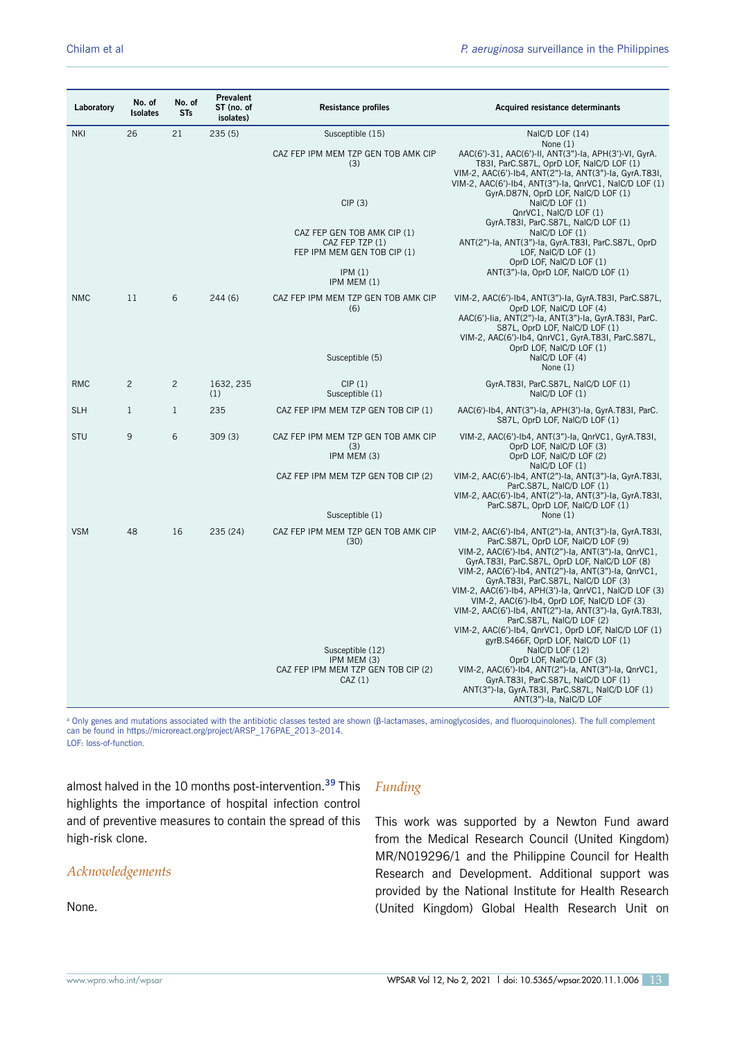| Laboratory | No. of<br>Isolates | No. of<br><b>STs</b> | Prevalent<br>ST (no. of<br>isolates) | <b>Resistance profiles</b>                                                       | Acquired resistance determinants                                                                                                                                                                                                                                                                                                                                                                                                                                                                                                                               |
|------------|--------------------|----------------------|--------------------------------------|----------------------------------------------------------------------------------|----------------------------------------------------------------------------------------------------------------------------------------------------------------------------------------------------------------------------------------------------------------------------------------------------------------------------------------------------------------------------------------------------------------------------------------------------------------------------------------------------------------------------------------------------------------|
| <b>NKI</b> | 26                 | 21                   | 235(5)                               | Susceptible (15)                                                                 | NaIC/D LOF (14)                                                                                                                                                                                                                                                                                                                                                                                                                                                                                                                                                |
|            |                    |                      |                                      | CAZ FEP IPM MEM TZP GEN TOB AMK CIP<br>(3)                                       | None $(1)$<br>AAC(6')-31, AAC(6')-II, ANT(3")-Ia, APH(3')-VI, GyrA.<br>T83I, ParC.S87L, OprD LOF, NaIC/D LOF (1)<br>VIM-2, AAC(6')-Ib4, ANT(2")-Ia, ANT(3")-Ia, GyrA.T83I,<br>VIM-2, AAC(6')-Ib4, ANT(3")-Ia, QnrVC1, NaIC/D LOF (1)                                                                                                                                                                                                                                                                                                                           |
|            |                    |                      |                                      | CIP(3)                                                                           | GyrA.D87N, OprD LOF, NaIC/D LOF (1)<br>NaIC/D LOF (1)<br>QnrVC1, NaIC/D LOF (1)<br>GyrA.T83I, ParC.S87L, NaIC/D LOF (1)                                                                                                                                                                                                                                                                                                                                                                                                                                        |
|            |                    |                      |                                      | CAZ FEP GEN TOB AMK CIP (1)<br>CAZ FEP TZP (1)<br>FEP IPM MEM GEN TOB CIP (1)    | NaIC/D LOF (1)<br>ANT(2")-la, ANT(3")-la, GyrA.T83I, ParC.S87L, OprD<br>LOF, NaIC/D LOF (1)<br>OprD LOF, NaIC/D LOF (1)                                                                                                                                                                                                                                                                                                                                                                                                                                        |
|            |                    |                      |                                      | IPM(1)<br>IPM MEM (1)                                                            | ANT(3")-la, OprD LOF, NaIC/D LOF (1)                                                                                                                                                                                                                                                                                                                                                                                                                                                                                                                           |
| <b>NMC</b> | 11                 | 6                    | 244(6)                               | CAZ FEP IPM MEM TZP GEN TOB AMK CIP<br>(6)                                       | VIM-2, AAC(6')-Ib4, ANT(3")-Ia, GyrA.T83I, ParC.S87L,<br>OprD LOF, NaIC/D LOF (4)<br>AAC(6')-lia, ANT(2")-la, ANT(3")-la, GyrA.T83I, ParC.<br>S87L, OprD LOF, NaIC/D LOF (1)<br>VIM-2, AAC(6')-Ib4, QnrVC1, GyrA.T83I, ParC.S87L,<br>OprD LOF, NaIC/D LOF (1)                                                                                                                                                                                                                                                                                                  |
|            |                    |                      |                                      | Susceptible (5)                                                                  | NaIC/D LOF (4)<br>None $(1)$                                                                                                                                                                                                                                                                                                                                                                                                                                                                                                                                   |
| <b>RMC</b> | $\overline{c}$     | $\overline{2}$       | 1632, 235<br>(1)                     | CIP(1)<br>Susceptible (1)                                                        | GyrA.T83I, ParC.S87L, NaIC/D LOF (1)<br>NaIC/D LOF (1)                                                                                                                                                                                                                                                                                                                                                                                                                                                                                                         |
| <b>SLH</b> | $\mathbf{1}$       | $\mathbf{1}$         | 235                                  | CAZ FEP IPM MEM TZP GEN TOB CIP (1)                                              | AAC(6')-Ib4, ANT(3")-Ia, APH(3')-Ia, GyrA.T83I, ParC.<br>S87L, OprD LOF, NaIC/D LOF (1)                                                                                                                                                                                                                                                                                                                                                                                                                                                                        |
| STU        | 9                  | 6                    | 309(3)                               | CAZ FEP IPM MEM TZP GEN TOB AMK CIP<br>(3)<br>IPM MEM (3)                        | VIM-2, AAC(6')-Ib4, ANT(3")-Ia, QnrVC1, GyrA.T83I,<br>OprD LOF, NaIC/D LOF (3)<br>OprD LOF, NaIC/D LOF (2)<br>NaIC/D LOF (1)                                                                                                                                                                                                                                                                                                                                                                                                                                   |
|            |                    |                      |                                      | CAZ FEP IPM MEM TZP GEN TOB CIP (2)                                              | VIM-2, AAC(6')-Ib4, ANT(2")-Ia, ANT(3")-Ia, GyrA.T83I,<br>ParC.S87L, NaIC/D LOF (1)<br>VIM-2, AAC(6')-Ib4, ANT(2")-Ia, ANT(3")-Ia, GyrA.T83I,                                                                                                                                                                                                                                                                                                                                                                                                                  |
|            |                    |                      |                                      | Susceptible (1)                                                                  | ParC.S87L, OprD LOF, NaIC/D LOF (1)<br>None $(1)$                                                                                                                                                                                                                                                                                                                                                                                                                                                                                                              |
| <b>VSM</b> | 48                 | 16                   | 235 (24)                             | CAZ FEP IPM MEM TZP GEN TOB AMK CIP<br>(30)                                      | VIM-2, AAC(6')-Ib4, ANT(2")-Ia, ANT(3")-Ia, GyrA.T83I,<br>ParC.S87L, OprD LOF, NaIC/D LOF (9)<br>VIM-2, AAC(6')-Ib4, ANT(2")-Ia, ANT(3")-Ia, QnrVC1,<br>GyrA.T83I, ParC.S87L, OprD LOF, NaIC/D LOF (8)<br>VIM-2, AAC(6')-Ib4, ANT(2")-Ia, ANT(3")-Ia, QnrVC1,<br>GyrA.T83I, ParC.S87L, NaIC/D LOF (3)<br>VIM-2, AAC(6')-Ib4, APH(3')-Ia, QnrVC1, NaIC/D LOF (3)<br>VIM-2, AAC(6')-Ib4, OprD LOF, NaIC/D LOF (3)<br>VIM-2, AAC(6')-Ib4, ANT(2")-Ia, ANT(3")-Ia, GyrA.T83I,<br>ParC.S87L, NaIC/D LOF (2)<br>VIM-2, AAC(6')-Ib4, QnrVC1, OprD LOF, NaIC/D LOF (1) |
|            |                    |                      |                                      | Susceptible (12)<br>IPM MEM (3)<br>CAZ FEP IPM MEM TZP GEN TOB CIP (2)<br>CAZ(1) | gyrB.S466F, OprD LOF, NaIC/D LOF (1)<br>NaIC/D LOF (12)<br>OprD LOF, NaIC/D LOF (3)<br>VIM-2, AAC(6')-Ib4, ANT(2")-Ia, ANT(3")-Ia, QnrVC1,<br>GyrA.T83I, ParC.S87L, NaIC/D LOF (1)<br>ANT(3")-la, GyrA.T83I, ParC.S87L, NaIC/D LOF (1)<br>ANT(3")-la, NaIC/D LOF                                                                                                                                                                                                                                                                                               |

a Only genes and mutations associated with the antibiotic classes tested are shown (β-lactamases, aminoglycosides, and fluoroquinolones). The full complement can be found in https://microreact.org/project/ARSP\_176PAE\_2013–2014.

LOF: loss-of-function.

almost halved in the 10 months post-intervention.<sup>39</sup> This highlights the importance of hospital infection control high-risk clone. The state of the state between  $\mathcal{L}$ reported previously,**11,14** confirming that country-wide and of preventive measures to contain the spread of this

## $Acknowledgements$ circulation of this clone. A previous longitudinal study of this clone. A previous longitudinal study of the study of the study of the study of the study of the study of the study of the study of the study of the study of

showed VIM-2 positive ST235 spreading throughout None.

## genomes showed a distinct cluster of Philippine genomes *Funding* (**Fig. 3B**) with limited genetic variability (**Fig. 2C**), sug-

This work was supported by a Newton Fund award from the Medical Research Council (United Kingdom) MR/N019296/1 and the Philippine Council for Health Research and Development. Additional support was provided by the National Institute for Health Research .<br>(Hnitod Kingdom) Clobal Hoalth Research Hnit on. survey contributed to bridging this gap by making raw (United Kingdom) Global Health Research Unit on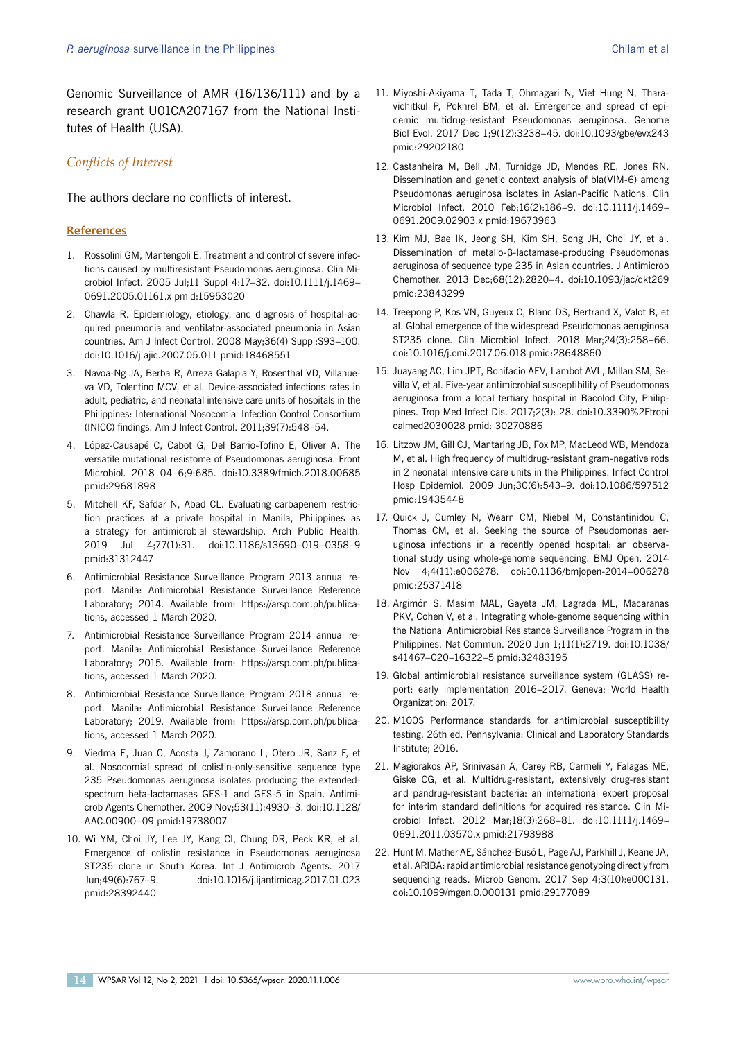Genomic Surveillance of AMR (16/136/111) and by a research grant U01CA207167 from the National Institutes of Health (USA).

## *Conflicts of Interest*

The authors declare no conflicts of interest.

#### **References**

- 1. Rossolini GM, Mantengoli E. Treatment and control of severe infections caused by multiresistant Pseudomonas aeruginosa. Clin Microbiol Infect. 2005 Jul;11 Suppl 4:17–32. doi:10.1111/j.1469– 0691.2005.01161.x pmid:15953020
- 2. Chawla R. Epidemiology, etiology, and diagnosis of hospital-acquired pneumonia and ventilator-associated pneumonia in Asian countries. Am J Infect Control. 2008 May;36(4) Suppl:S93–100. doi:10.1016/j.ajic.2007.05.011 pmid:18468551
- 3. Navoa-Ng JA, Berba R, Arreza Galapia Y, Rosenthal VD, Villanueva VD, Tolentino MCV, et al. Device-associated infections rates in adult, pediatric, and neonatal intensive care units of hospitals in the Philippines: International Nosocomial Infection Control Consortium (INICC) findings. Am J Infect Control. 2011;39(7):548–54.
- 4. López-Causapé C, Cabot G, Del Barrio-Tofiño E, Oliver A. The versatile mutational resistome of Pseudomonas aeruginosa. Front Microbiol. 2018 04 6;9:685. doi:10.3389/fmicb.2018.00685 pmid:29681898
- 5. Mitchell KF, Safdar N, Abad CL. Evaluating carbapenem restriction practices at a private hospital in Manila, Philippines as a strategy for antimicrobial stewardship. Arch Public Health. 2019 Jul 4;77(1):31. doi:10.1186/s13690–019–0358–9 pmid:31312447
- 6. Antimicrobial Resistance Surveillance Program 2013 annual report. Manila: Antimicrobial Resistance Surveillance Reference Laboratory; 2014. Available from: https://arsp.com.ph/publications, accessed 1 March 2020.
- 7. Antimicrobial Resistance Surveillance Program 2014 annual report. Manila: Antimicrobial Resistance Surveillance Reference Laboratory; 2015. Available from: https://arsp.com.ph/publications, accessed 1 March 2020.
- 8. Antimicrobial Resistance Surveillance Program 2018 annual report. Manila: Antimicrobial Resistance Surveillance Reference Laboratory; 2019. Available from: https://arsp.com.ph/publications, accessed 1 March 2020.
- 9. Viedma E, Juan C, Acosta J, Zamorano L, Otero JR, Sanz F, et al. Nosocomial spread of colistin-only-sensitive sequence type 235 Pseudomonas aeruginosa isolates producing the extendedspectrum beta-lactamases GES-1 and GES-5 in Spain. Antimicrob Agents Chemother. 2009 Nov;53(11):4930–3. doi:10.1128/ AAC.00900–09 pmid:19738007
- 10. Wi YM, Choi JY, Lee JY, Kang CI, Chung DR, Peck KR, et al. Emergence of colistin resistance in Pseudomonas aeruginosa ST235 clone in South Korea. Int J Antimicrob Agents. 2017 Jun;49(6):767–9. doi:10.1016/j.ijantimicag.2017.01.023 pmid:28392440
- 11. Miyoshi-Akiyama T, Tada T, Ohmagari N, Viet Hung N, Tharavichitkul P, Pokhrel BM, et al. Emergence and spread of epidemic multidrug-resistant Pseudomonas aeruginosa. Genome Biol Evol. 2017 Dec 1;9(12):3238–45. doi:10.1093/gbe/evx243 pmid:29202180
- 12. Castanheira M, Bell JM, Turnidge JD, Mendes RE, Jones RN. Dissemination and genetic context analysis of bla(VIM-6) among Pseudomonas aeruginosa isolates in Asian-Pacific Nations. Clin Microbiol Infect. 2010 Feb;16(2):186–9. doi:10.1111/j.1469– 0691.2009.02903.x pmid:19673963
- 13. Kim MJ, Bae IK, Jeong SH, Kim SH, Song JH, Choi JY, et al. Dissemination of metallo-β-lactamase-producing Pseudomonas aeruginosa of sequence type 235 in Asian countries. J Antimicrob Chemother. 2013 Dec;68(12):2820–4. doi:10.1093/jac/dkt269 pmid:23843299
- 14. Treepong P, Kos VN, Guyeux C, Blanc DS, Bertrand X, Valot B, et al. Global emergence of the widespread Pseudomonas aeruginosa ST235 clone. Clin Microbiol Infect. 2018 Mar;24(3):258–66. doi:10.1016/j.cmi.2017.06.018 pmid:28648860
- 15. Juayang AC, Lim JPT, Bonifacio AFV, Lambot AVL, Millan SM, Sevilla V, et al. Five-year antimicrobial susceptibility of Pseudomonas aeruginosa from a local tertiary hospital in Bacolod City, Philippines. Trop Med Infect Dis. 2017;2(3): 28. doi:10.3390%2Ftropi calmed2030028 pmid: 30270886
- 16. Litzow JM, Gill CJ, Mantaring JB, Fox MP, MacLeod WB, Mendoza M, et al. High frequency of multidrug-resistant gram-negative rods in 2 neonatal intensive care units in the Philippines. Infect Control Hosp Epidemiol. 2009 Jun;30(6):543–9. doi:10.1086/597512 pmid:19435448
- 17. Quick J, Cumley N, Wearn CM, Niebel M, Constantinidou C, Thomas CM, et al. Seeking the source of Pseudomonas aeruginosa infections in a recently opened hospital: an observational study using whole-genome sequencing. BMJ Open. 2014 Nov 4;4(11):e006278. doi:10.1136/bmjopen-2014–006278 pmid:25371418
- 18. Argimón S, Masim MAL, Gayeta JM, Lagrada ML, Macaranas PKV, Cohen V, et al. Integrating whole-genome sequencing within the National Antimicrobial Resistance Surveillance Program in the Philippines. Nat Commun. 2020 Jun 1;11(1):2719. doi:10.1038/ s41467–020–16322–5 pmid:32483195
- 19. Global antimicrobial resistance surveillance system (GLASS) report: early implementation 2016–2017. Geneva: World Health Organization; 2017.
- 20. M100S Performance standards for antimicrobial susceptibility testing. 26th ed. Pennsylvania: Clinical and Laboratory Standards Institute; 2016.
- 21. Magiorakos AP, Srinivasan A, Carey RB, Carmeli Y, Falagas ME, Giske CG, et al. Multidrug-resistant, extensively drug-resistant and pandrug-resistant bacteria: an international expert proposal for interim standard definitions for acquired resistance. Clin Microbiol Infect. 2012 Mar;18(3):268–81. doi:10.1111/j.1469– 0691.2011.03570.x pmid:21793988
- 22. Hunt M, Mather AE, Sánchez-Busó L, Page AJ, Parkhill J, Keane JA, et al. ARIBA: rapid antimicrobial resistance genotyping directly from sequencing reads. Microb Genom. 2017 Sep 4;3(10):e000131. doi:10.1099/mgen.0.000131 pmid:29177089